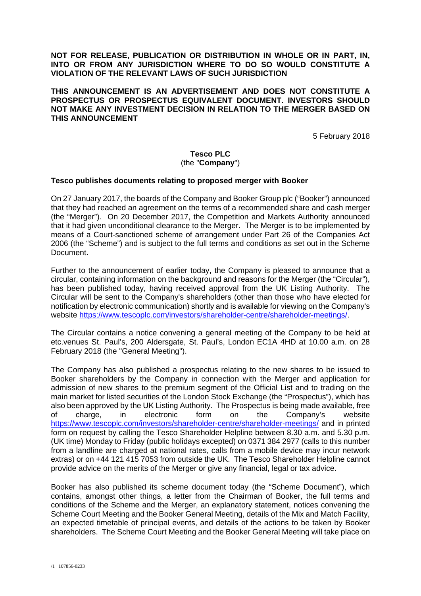**NOT FOR RELEASE, PUBLICATION OR DISTRIBUTION IN WHOLE OR IN PART, IN, INTO OR FROM ANY JURISDICTION WHERE TO DO SO WOULD CONSTITUTE A VIOLATION OF THE RELEVANT LAWS OF SUCH JURISDICTION** 

**THIS ANNOUNCEMENT IS AN ADVERTISEMENT AND DOES NOT CONSTITUTE A PROSPECTUS OR PROSPECTUS EQUIVALENT DOCUMENT. INVESTORS SHOULD NOT MAKE ANY INVESTMENT DECISION IN RELATION TO THE MERGER BASED ON THIS ANNOUNCEMENT** 

5 February 2018

#### **Tesco PLC**  (the "**Company**")

#### **Tesco publishes documents relating to proposed merger with Booker**

On 27 January 2017, the boards of the Company and Booker Group plc ("Booker") announced that they had reached an agreement on the terms of a recommended share and cash merger (the "Merger"). On 20 December 2017, the Competition and Markets Authority announced that it had given unconditional clearance to the Merger. The Merger is to be implemented by means of a Court-sanctioned scheme of arrangement under Part 26 of the Companies Act 2006 (the "Scheme") and is subject to the full terms and conditions as set out in the Scheme Document.

Further to the announcement of earlier today, the Company is pleased to announce that a circular, containing information on the background and reasons for the Merger (the "Circular"), has been published today, having received approval from the UK Listing Authority. The Circular will be sent to the Company's shareholders (other than those who have elected for notification by electronic communication) shortly and is available for viewing on the Company's website https://www.tescoplc.com/investors/shareholder-centre/shareholder-meetings/.

The Circular contains a notice convening a general meeting of the Company to be held at etc.venues St. Paul's, 200 Aldersgate, St. Paul's, London EC1A 4HD at 10.00 a.m. on 28 February 2018 (the "General Meeting").

The Company has also published a prospectus relating to the new shares to be issued to Booker shareholders by the Company in connection with the Merger and application for admission of new shares to the premium segment of the Official List and to trading on the main market for listed securities of the London Stock Exchange (the "Prospectus"), which has also been approved by the UK Listing Authority. The Prospectus is being made available, free of charge, in electronic form on the Company's website https://www.tescoplc.com/investors/shareholder-centre/shareholder-meetings/ and in printed form on request by calling the Tesco Shareholder Helpline between 8.30 a.m. and 5.30 p.m. (UK time) Monday to Friday (public holidays excepted) on 0371 384 2977 (calls to this number from a landline are charged at national rates, calls from a mobile device may incur network extras) or on +44 121 415 7053 from outside the UK. The Tesco Shareholder Helpline cannot provide advice on the merits of the Merger or give any financial, legal or tax advice.

Booker has also published its scheme document today (the "Scheme Document"), which contains, amongst other things, a letter from the Chairman of Booker, the full terms and conditions of the Scheme and the Merger, an explanatory statement, notices convening the Scheme Court Meeting and the Booker General Meeting, details of the Mix and Match Facility, an expected timetable of principal events, and details of the actions to be taken by Booker shareholders. The Scheme Court Meeting and the Booker General Meeting will take place on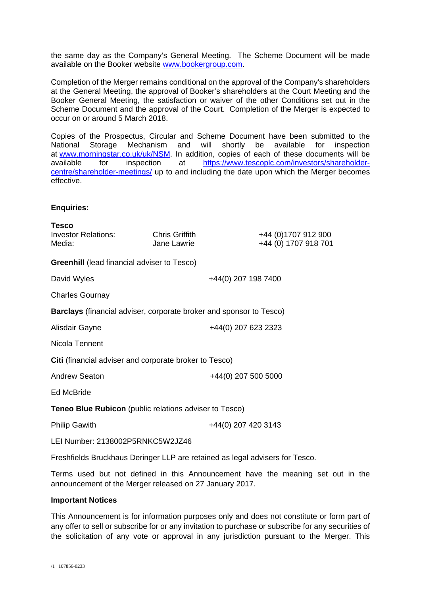the same day as the Company's General Meeting. The Scheme Document will be made available on the Booker website www.bookergroup.com.

Completion of the Merger remains conditional on the approval of the Company's shareholders at the General Meeting, the approval of Booker's shareholders at the Court Meeting and the Booker General Meeting, the satisfaction or waiver of the other Conditions set out in the Scheme Document and the approval of the Court. Completion of the Merger is expected to occur on or around 5 March 2018.

Copies of the Prospectus, Circular and Scheme Document have been submitted to the National Storage Mechanism and will shortly be available for inspection at www.morningstar.co.uk/uk/NSM. In addition, copies of each of these documents will be available for inspection at https://www.tescoplc.com/investors/shareholdercentre/shareholder-meetings/ up to and including the date upon which the Merger becomes effective.

### **Enquiries:**

| <b>Tesco</b><br>Investor Relations:<br>Media:                              | <b>Chris Griffith</b><br>Jane Lawrie |                     | +44 (0) 1707 912 900<br>+44 (0) 1707 918 701 |
|----------------------------------------------------------------------------|--------------------------------------|---------------------|----------------------------------------------|
| <b>Greenhill</b> (lead financial adviser to Tesco)                         |                                      |                     |                                              |
| David Wyles                                                                |                                      | +44(0) 207 198 7400 |                                              |
| <b>Charles Gournay</b>                                                     |                                      |                     |                                              |
| <b>Barclays</b> (financial adviser, corporate broker and sponsor to Tesco) |                                      |                     |                                              |
| Alisdair Gayne                                                             |                                      | +44(0) 207 623 2323 |                                              |
| Nicola Tennent                                                             |                                      |                     |                                              |
| Citi (financial adviser and corporate broker to Tesco)                     |                                      |                     |                                              |
| <b>Andrew Seaton</b>                                                       |                                      | +44(0) 207 500 5000 |                                              |
| <b>Ed McBride</b>                                                          |                                      |                     |                                              |
| <b>Teneo Blue Rubicon</b> (public relations adviser to Tesco)              |                                      |                     |                                              |
| <b>Philip Gawith</b>                                                       |                                      | +44(0) 207 420 3143 |                                              |
| LEI Number: 2138002P5RNKC5W2JZ46                                           |                                      |                     |                                              |

Freshfields Bruckhaus Deringer LLP are retained as legal advisers for Tesco.

Terms used but not defined in this Announcement have the meaning set out in the announcement of the Merger released on 27 January 2017.

#### **Important Notices**

This Announcement is for information purposes only and does not constitute or form part of any offer to sell or subscribe for or any invitation to purchase or subscribe for any securities of the solicitation of any vote or approval in any jurisdiction pursuant to the Merger. This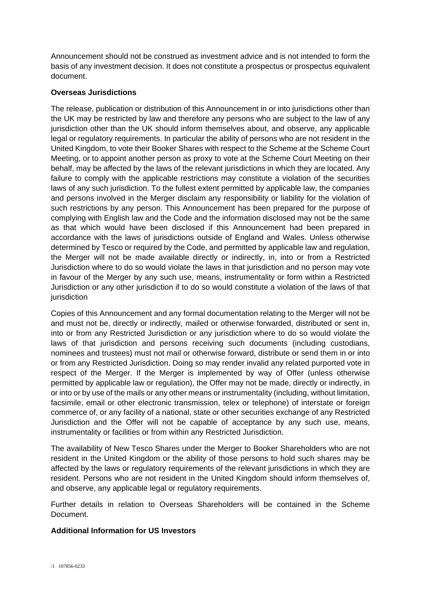Announcement should not be construed as investment advice and is not intended to form the basis of any investment decision. It does not constitute a prospectus or prospectus equivalent document.

# **Overseas Jurisdictions**

The release, publication or distribution of this Announcement in or into jurisdictions other than the UK may be restricted by law and therefore any persons who are subject to the law of any jurisdiction other than the UK should inform themselves about, and observe, any applicable legal or regulatory requirements. In particular the ability of persons who are not resident in the United Kingdom, to vote their Booker Shares with respect to the Scheme at the Scheme Court Meeting, or to appoint another person as proxy to vote at the Scheme Court Meeting on their behalf, may be affected by the laws of the relevant jurisdictions in which they are located. Any failure to comply with the applicable restrictions may constitute a violation of the securities laws of any such jurisdiction. To the fullest extent permitted by applicable law, the companies and persons involved in the Merger disclaim any responsibility or liability for the violation of such restrictions by any person. This Announcement has been prepared for the purpose of complying with English law and the Code and the information disclosed may not be the same as that which would have been disclosed if this Announcement had been prepared in accordance with the laws of jurisdictions outside of England and Wales. Unless otherwise determined by Tesco or required by the Code, and permitted by applicable law and regulation, the Merger will not be made available directly or indirectly, in, into or from a Restricted Jurisdiction where to do so would violate the laws in that jurisdiction and no person may vote in favour of the Merger by any such use, means, instrumentality or form within a Restricted Jurisdiction or any other jurisdiction if to do so would constitute a violation of the laws of that jurisdiction

Copies of this Announcement and any formal documentation relating to the Merger will not be and must not be, directly or indirectly, mailed or otherwise forwarded, distributed or sent in, into or from any Restricted Jurisdiction or any jurisdiction where to do so would violate the laws of that jurisdiction and persons receiving such documents (including custodians, nominees and trustees) must not mail or otherwise forward, distribute or send them in or into or from any Restricted Jurisdiction. Doing so may render invalid any related purported vote in respect of the Merger. If the Merger is implemented by way of Offer (unless otherwise permitted by applicable law or regulation), the Offer may not be made, directly or indirectly, in or into or by use of the mails or any other means or instrumentality (including, without limitation, facsimile, email or other electronic transmission, telex or telephone) of interstate or foreign commerce of, or any facility of a national, state or other securities exchange of any Restricted Jurisdiction and the Offer will not be capable of acceptance by any such use, means, instrumentality or facilities or from within any Restricted Jurisdiction.

The availability of New Tesco Shares under the Merger to Booker Shareholders who are not resident in the United Kingdom or the ability of those persons to hold such shares may be affected by the laws or regulatory requirements of the relevant jurisdictions in which they are resident. Persons who are not resident in the United Kingdom should inform themselves of, and observe, any applicable legal or regulatory requirements.

Further details in relation to Overseas Shareholders will be contained in the Scheme **Document** 

### **Additional Information for US Investors**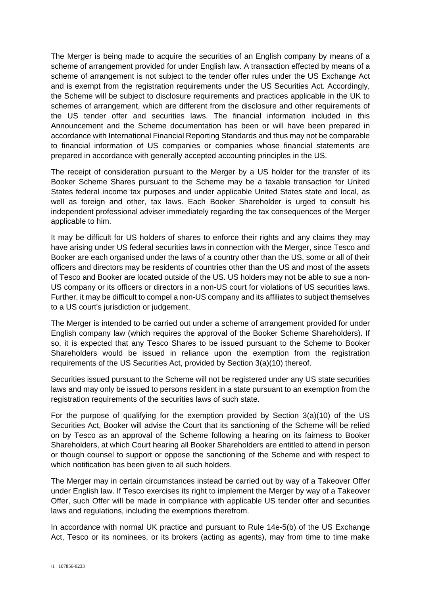The Merger is being made to acquire the securities of an English company by means of a scheme of arrangement provided for under English law. A transaction effected by means of a scheme of arrangement is not subject to the tender offer rules under the US Exchange Act and is exempt from the registration requirements under the US Securities Act. Accordingly, the Scheme will be subject to disclosure requirements and practices applicable in the UK to schemes of arrangement, which are different from the disclosure and other requirements of the US tender offer and securities laws. The financial information included in this Announcement and the Scheme documentation has been or will have been prepared in accordance with International Financial Reporting Standards and thus may not be comparable to financial information of US companies or companies whose financial statements are prepared in accordance with generally accepted accounting principles in the US.

The receipt of consideration pursuant to the Merger by a US holder for the transfer of its Booker Scheme Shares pursuant to the Scheme may be a taxable transaction for United States federal income tax purposes and under applicable United States state and local, as well as foreign and other, tax laws. Each Booker Shareholder is urged to consult his independent professional adviser immediately regarding the tax consequences of the Merger applicable to him.

It may be difficult for US holders of shares to enforce their rights and any claims they may have arising under US federal securities laws in connection with the Merger, since Tesco and Booker are each organised under the laws of a country other than the US, some or all of their officers and directors may be residents of countries other than the US and most of the assets of Tesco and Booker are located outside of the US. US holders may not be able to sue a non-US company or its officers or directors in a non-US court for violations of US securities laws. Further, it may be difficult to compel a non-US company and its affiliates to subject themselves to a US court's jurisdiction or judgement.

The Merger is intended to be carried out under a scheme of arrangement provided for under English company law (which requires the approval of the Booker Scheme Shareholders). If so, it is expected that any Tesco Shares to be issued pursuant to the Scheme to Booker Shareholders would be issued in reliance upon the exemption from the registration requirements of the US Securities Act, provided by Section 3(a)(10) thereof.

Securities issued pursuant to the Scheme will not be registered under any US state securities laws and may only be issued to persons resident in a state pursuant to an exemption from the registration requirements of the securities laws of such state.

For the purpose of qualifying for the exemption provided by Section 3(a)(10) of the US Securities Act, Booker will advise the Court that its sanctioning of the Scheme will be relied on by Tesco as an approval of the Scheme following a hearing on its fairness to Booker Shareholders, at which Court hearing all Booker Shareholders are entitled to attend in person or though counsel to support or oppose the sanctioning of the Scheme and with respect to which notification has been given to all such holders.

The Merger may in certain circumstances instead be carried out by way of a Takeover Offer under English law. If Tesco exercises its right to implement the Merger by way of a Takeover Offer, such Offer will be made in compliance with applicable US tender offer and securities laws and regulations, including the exemptions therefrom.

In accordance with normal UK practice and pursuant to Rule 14e-5(b) of the US Exchange Act, Tesco or its nominees, or its brokers (acting as agents), may from time to time make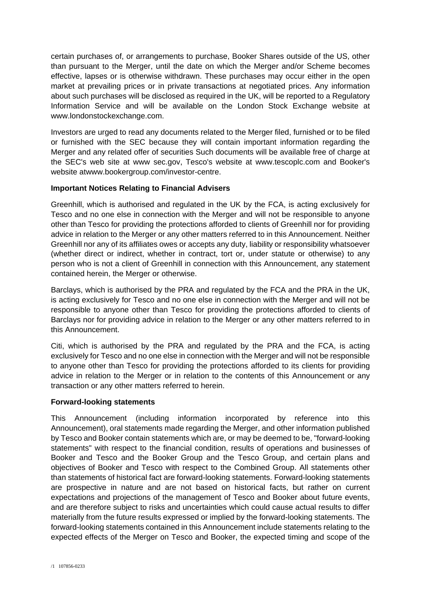certain purchases of, or arrangements to purchase, Booker Shares outside of the US, other than pursuant to the Merger, until the date on which the Merger and/or Scheme becomes effective, lapses or is otherwise withdrawn. These purchases may occur either in the open market at prevailing prices or in private transactions at negotiated prices. Any information about such purchases will be disclosed as required in the UK, will be reported to a Regulatory Information Service and will be available on the London Stock Exchange website at www.londonstockexchange.com.

Investors are urged to read any documents related to the Merger filed, furnished or to be filed or furnished with the SEC because they will contain important information regarding the Merger and any related offer of securities Such documents will be available free of charge at the SEC's web site at www sec.gov, Tesco's website at www.tescoplc.com and Booker's website atwww.bookergroup.com/investor-centre.

# **Important Notices Relating to Financial Advisers**

Greenhill, which is authorised and regulated in the UK by the FCA, is acting exclusively for Tesco and no one else in connection with the Merger and will not be responsible to anyone other than Tesco for providing the protections afforded to clients of Greenhill nor for providing advice in relation to the Merger or any other matters referred to in this Announcement. Neither Greenhill nor any of its affiliates owes or accepts any duty, liability or responsibility whatsoever (whether direct or indirect, whether in contract, tort or, under statute or otherwise) to any person who is not a client of Greenhill in connection with this Announcement, any statement contained herein, the Merger or otherwise.

Barclays, which is authorised by the PRA and regulated by the FCA and the PRA in the UK, is acting exclusively for Tesco and no one else in connection with the Merger and will not be responsible to anyone other than Tesco for providing the protections afforded to clients of Barclays nor for providing advice in relation to the Merger or any other matters referred to in this Announcement.

Citi, which is authorised by the PRA and regulated by the PRA and the FCA, is acting exclusively for Tesco and no one else in connection with the Merger and will not be responsible to anyone other than Tesco for providing the protections afforded to its clients for providing advice in relation to the Merger or in relation to the contents of this Announcement or any transaction or any other matters referred to herein.

# **Forward-looking statements**

This Announcement (including information incorporated by reference into this Announcement), oral statements made regarding the Merger, and other information published by Tesco and Booker contain statements which are, or may be deemed to be, "forward-looking statements" with respect to the financial condition, results of operations and businesses of Booker and Tesco and the Booker Group and the Tesco Group, and certain plans and objectives of Booker and Tesco with respect to the Combined Group. All statements other than statements of historical fact are forward-looking statements. Forward-looking statements are prospective in nature and are not based on historical facts, but rather on current expectations and projections of the management of Tesco and Booker about future events, and are therefore subject to risks and uncertainties which could cause actual results to differ materially from the future results expressed or implied by the forward-looking statements. The forward-looking statements contained in this Announcement include statements relating to the expected effects of the Merger on Tesco and Booker, the expected timing and scope of the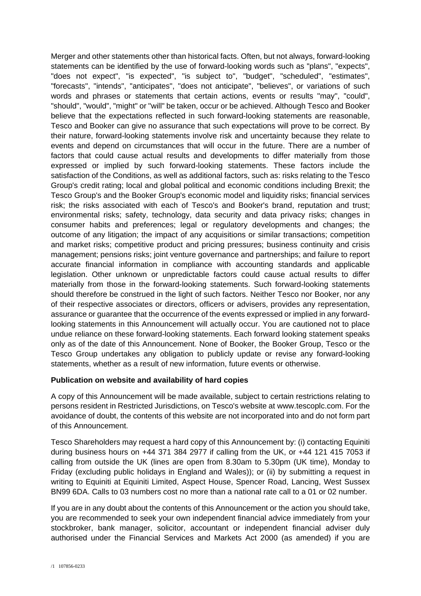Merger and other statements other than historical facts. Often, but not always, forward-looking statements can be identified by the use of forward-looking words such as "plans", "expects", "does not expect", "is expected", "is subject to", "budget", "scheduled", "estimates", "forecasts", "intends", "anticipates", "does not anticipate", "believes", or variations of such words and phrases or statements that certain actions, events or results "may", "could", "should", "would", "might" or "will" be taken, occur or be achieved. Although Tesco and Booker believe that the expectations reflected in such forward-looking statements are reasonable, Tesco and Booker can give no assurance that such expectations will prove to be correct. By their nature, forward-looking statements involve risk and uncertainty because they relate to events and depend on circumstances that will occur in the future. There are a number of factors that could cause actual results and developments to differ materially from those expressed or implied by such forward-looking statements. These factors include the satisfaction of the Conditions, as well as additional factors, such as: risks relating to the Tesco Group's credit rating; local and global political and economic conditions including Brexit; the Tesco Group's and the Booker Group's economic model and liquidity risks; financial services risk; the risks associated with each of Tesco's and Booker's brand, reputation and trust; environmental risks; safety, technology, data security and data privacy risks; changes in consumer habits and preferences; legal or regulatory developments and changes; the outcome of any litigation; the impact of any acquisitions or similar transactions; competition and market risks; competitive product and pricing pressures; business continuity and crisis management; pensions risks; joint venture governance and partnerships; and failure to report accurate financial information in compliance with accounting standards and applicable legislation. Other unknown or unpredictable factors could cause actual results to differ materially from those in the forward-looking statements. Such forward-looking statements should therefore be construed in the light of such factors. Neither Tesco nor Booker, nor any of their respective associates or directors, officers or advisers, provides any representation, assurance or guarantee that the occurrence of the events expressed or implied in any forwardlooking statements in this Announcement will actually occur. You are cautioned not to place undue reliance on these forward-looking statements. Each forward looking statement speaks only as of the date of this Announcement. None of Booker, the Booker Group, Tesco or the Tesco Group undertakes any obligation to publicly update or revise any forward-looking statements, whether as a result of new information, future events or otherwise.

# **Publication on website and availability of hard copies**

A copy of this Announcement will be made available, subject to certain restrictions relating to persons resident in Restricted Jurisdictions, on Tesco's website at www.tescoplc.com. For the avoidance of doubt, the contents of this website are not incorporated into and do not form part of this Announcement.

Tesco Shareholders may request a hard copy of this Announcement by: (i) contacting Equiniti during business hours on +44 371 384 2977 if calling from the UK, or +44 121 415 7053 if calling from outside the UK (lines are open from 8.30am to 5.30pm (UK time), Monday to Friday (excluding public holidays in England and Wales)); or (ii) by submitting a request in writing to Equiniti at Equiniti Limited, Aspect House, Spencer Road, Lancing, West Sussex BN99 6DA. Calls to 03 numbers cost no more than a national rate call to a 01 or 02 number.

If you are in any doubt about the contents of this Announcement or the action you should take, you are recommended to seek your own independent financial advice immediately from your stockbroker, bank manager, solicitor, accountant or independent financial adviser duly authorised under the Financial Services and Markets Act 2000 (as amended) if you are